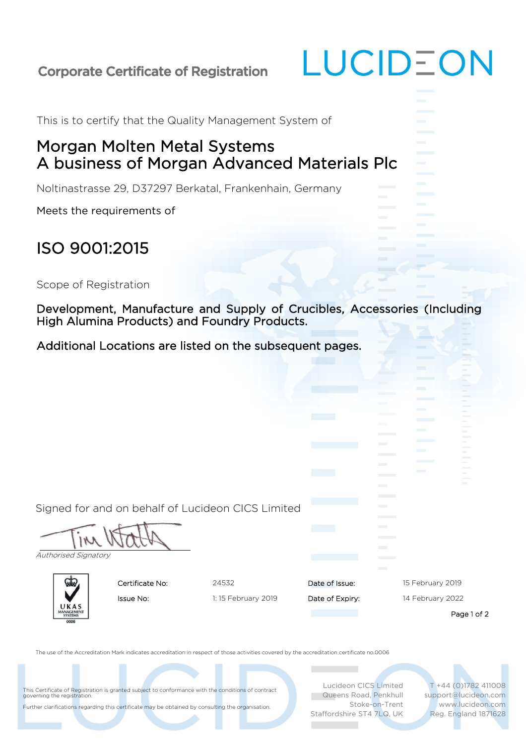## Corporate Certificate of Registration

This is to certify that the Quality Management System of

## Morgan Molten Metal Systems A business of Morgan Advanced Materials Plc

Noltinastrasse 29, D37297 Berkatal, Frankenhain, Germany

Meets the requirements of

## ISO 9001:2015

Scope of Registration

Development, Manufacture and Supply of Crucibles, Accessories (Including High Alumina Products) and Foundry Products.

LUCIDEON

Additional Locations are listed on the subsequent pages.

| Authorised Signatory |                    |                                                                                                                                                                                                         | <b>The Common</b><br><b>The Common</b><br><b>The Common State</b><br><b>The Common</b><br><b>The Common</b> | $\sim$                                                                                                                                                                                                                                     |
|----------------------|--------------------|---------------------------------------------------------------------------------------------------------------------------------------------------------------------------------------------------------|-------------------------------------------------------------------------------------------------------------|--------------------------------------------------------------------------------------------------------------------------------------------------------------------------------------------------------------------------------------------|
| Certificate No:      | 24532              | Date of Issue:                                                                                                                                                                                          |                                                                                                             | 15 February 2019                                                                                                                                                                                                                           |
| Issue No:<br>UKAS    | 1:15 February 2019 | Date of Expiry:                                                                                                                                                                                         | 14 February 2022                                                                                            |                                                                                                                                                                                                                                            |
|                      |                    |                                                                                                                                                                                                         |                                                                                                             | Page 1 of 2                                                                                                                                                                                                                                |
|                      |                    |                                                                                                                                                                                                         |                                                                                                             | T +44 (0)1782 411008<br>support@lucideon.com<br>www.lucideon.com<br>Reg. England 1871628                                                                                                                                                   |
|                      |                    | This Certificate of Registration is granted subject to conformance with the conditions of contract<br>Further clarifications regarding this certificate may be obtained by consulting the organisation. | Signed for and on behalf of Lucideon CICS Limited                                                           | The use of the Accreditation Mark indicates accreditation in respect of those activities covered by the accreditation certificate no.0006<br>Lucideon CICS Limited<br>Queens Road, Penkhull<br>Stoke-on-Trent<br>Staffordshire ST4 7LQ, UK |